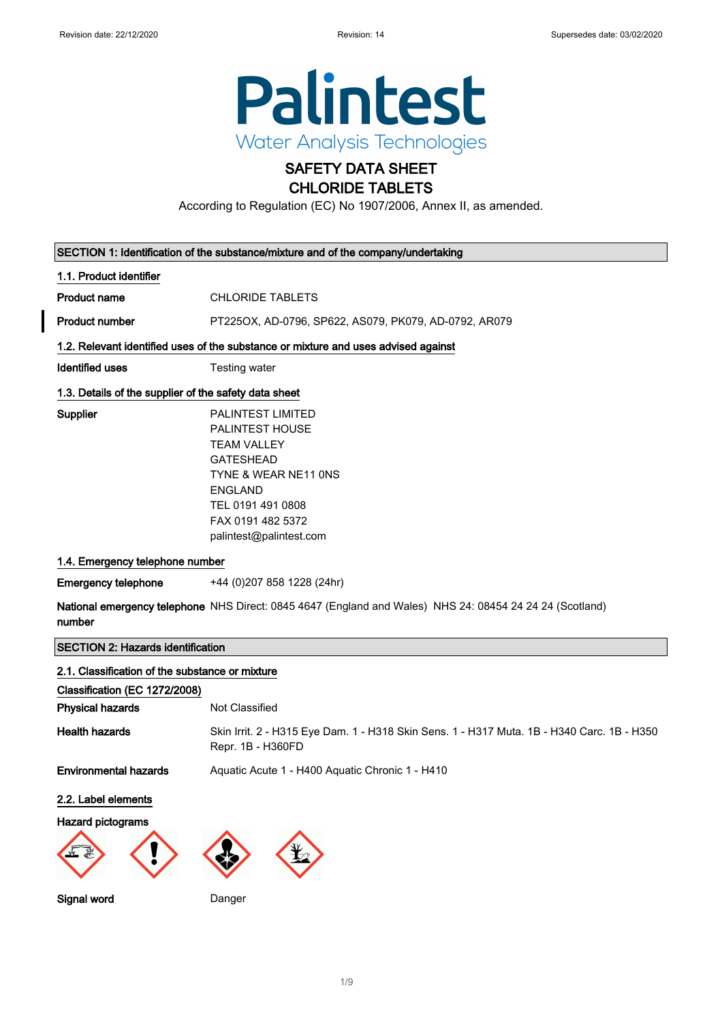$\mathbf l$ 



# SAFETY DATA SHEET CHLORIDE TABLETS

According to Regulation (EC) No 1907/2006, Annex II, as amended.

| SECTION 1: Identification of the substance/mixture and of the company/undertaking                                  |                                                                                                                                                                                               |  |
|--------------------------------------------------------------------------------------------------------------------|-----------------------------------------------------------------------------------------------------------------------------------------------------------------------------------------------|--|
| 1.1. Product identifier                                                                                            |                                                                                                                                                                                               |  |
| <b>Product name</b>                                                                                                | <b>CHLORIDE TABLETS</b>                                                                                                                                                                       |  |
| <b>Product number</b>                                                                                              | PT225OX, AD-0796, SP622, AS079, PK079, AD-0792, AR079                                                                                                                                         |  |
|                                                                                                                    | 1.2. Relevant identified uses of the substance or mixture and uses advised against                                                                                                            |  |
| <b>Identified uses</b>                                                                                             | Testing water                                                                                                                                                                                 |  |
| 1.3. Details of the supplier of the safety data sheet                                                              |                                                                                                                                                                                               |  |
| <b>Supplier</b>                                                                                                    | PALINTEST LIMITED<br>PALINTEST HOUSE<br><b>TEAM VALLEY</b><br><b>GATESHEAD</b><br>TYNE & WEAR NE11 ONS<br><b>ENGLAND</b><br>TEL 0191 491 0808<br>FAX 0191 482 5372<br>palintest@palintest.com |  |
| 1.4. Emergency telephone number                                                                                    |                                                                                                                                                                                               |  |
| <b>Emergency telephone</b>                                                                                         | +44 (0) 207 858 1228 (24hr)                                                                                                                                                                   |  |
| National emergency telephone NHS Direct: 0845 4647 (England and Wales) NHS 24: 08454 24 24 24 (Scotland)<br>number |                                                                                                                                                                                               |  |
| <b>SECTION 2: Hazards identification</b>                                                                           |                                                                                                                                                                                               |  |
| 2.1. Classification of the substance or mixture                                                                    |                                                                                                                                                                                               |  |
| Classification (EC 1272/2008)                                                                                      |                                                                                                                                                                                               |  |
| <b>Physical hazards</b>                                                                                            | Not Classified                                                                                                                                                                                |  |
| <b>Health hazards</b>                                                                                              | Skin Irrit. 2 - H315 Eye Dam. 1 - H318 Skin Sens. 1 - H317 Muta. 1B - H340 Carc. 1B - H350<br>Repr. 1B - H360FD                                                                               |  |
| <b>Environmental hazards</b>                                                                                       | Aquatic Acute 1 - H400 Aquatic Chronic 1 - H410                                                                                                                                               |  |
| 2.2. Label elements                                                                                                |                                                                                                                                                                                               |  |
| <b>Hazard pictograms</b>                                                                                           |                                                                                                                                                                                               |  |
|                                                                                                                    |                                                                                                                                                                                               |  |

Signal word Danger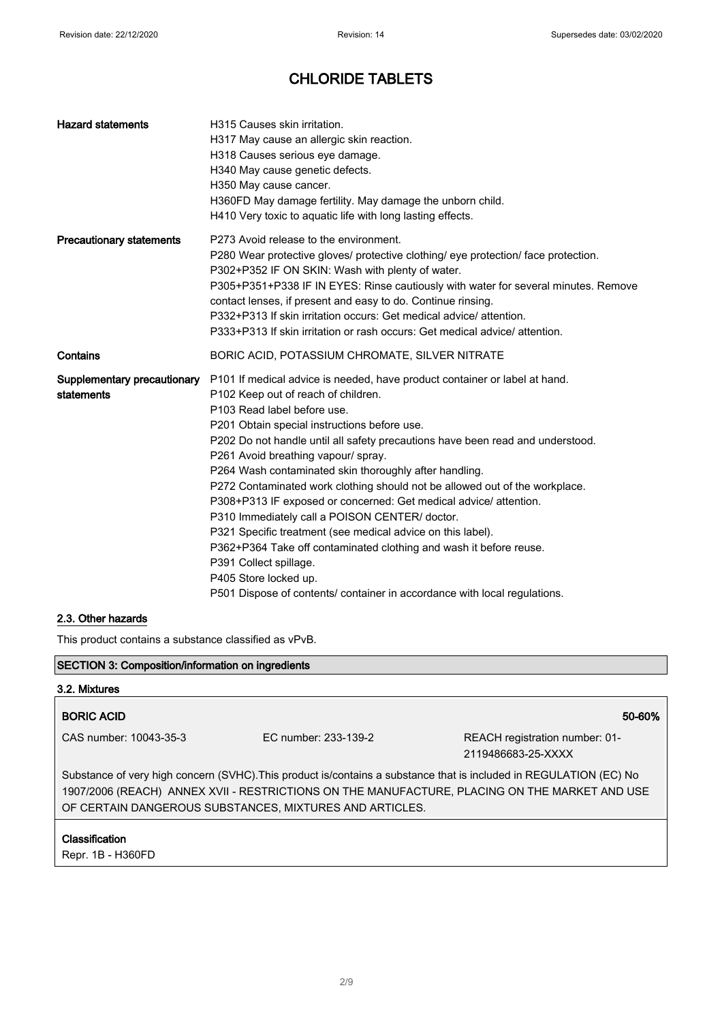| <b>Hazard statements</b>                  | H315 Causes skin irritation.<br>H317 May cause an allergic skin reaction.<br>H318 Causes serious eye damage.<br>H340 May cause genetic defects.<br>H350 May cause cancer.<br>H360FD May damage fertility. May damage the unborn child.<br>H410 Very toxic to aquatic life with long lasting effects.                                                                                                                                                                                                                                                                                                                                                                                                                                                                                                                                                           |
|-------------------------------------------|----------------------------------------------------------------------------------------------------------------------------------------------------------------------------------------------------------------------------------------------------------------------------------------------------------------------------------------------------------------------------------------------------------------------------------------------------------------------------------------------------------------------------------------------------------------------------------------------------------------------------------------------------------------------------------------------------------------------------------------------------------------------------------------------------------------------------------------------------------------|
| <b>Precautionary statements</b>           | P273 Avoid release to the environment.<br>P280 Wear protective gloves/ protective clothing/ eye protection/ face protection.<br>P302+P352 IF ON SKIN: Wash with plenty of water.<br>P305+P351+P338 IF IN EYES: Rinse cautiously with water for several minutes. Remove<br>contact lenses, if present and easy to do. Continue rinsing.<br>P332+P313 If skin irritation occurs: Get medical advice/attention.<br>P333+P313 If skin irritation or rash occurs: Get medical advice/ attention.                                                                                                                                                                                                                                                                                                                                                                    |
| Contains                                  | BORIC ACID, POTASSIUM CHROMATE, SILVER NITRATE                                                                                                                                                                                                                                                                                                                                                                                                                                                                                                                                                                                                                                                                                                                                                                                                                 |
| Supplementary precautionary<br>statements | P101 If medical advice is needed, have product container or label at hand.<br>P102 Keep out of reach of children.<br>P103 Read label before use.<br>P201 Obtain special instructions before use.<br>P202 Do not handle until all safety precautions have been read and understood.<br>P261 Avoid breathing vapour/ spray.<br>P264 Wash contaminated skin thoroughly after handling.<br>P272 Contaminated work clothing should not be allowed out of the workplace.<br>P308+P313 IF exposed or concerned: Get medical advice/ attention.<br>P310 Immediately call a POISON CENTER/ doctor.<br>P321 Specific treatment (see medical advice on this label).<br>P362+P364 Take off contaminated clothing and wash it before reuse.<br>P391 Collect spillage.<br>P405 Store locked up.<br>P501 Dispose of contents/ container in accordance with local regulations. |

## 2.3. Other hazards

 $\mathbf{r}$ 

This product contains a substance classified as vPvB.

| <b>SECTION 3: Composition/information on ingredients</b>                                                                                                                                                                                                                       |                      |                                                      |
|--------------------------------------------------------------------------------------------------------------------------------------------------------------------------------------------------------------------------------------------------------------------------------|----------------------|------------------------------------------------------|
| 3.2. Mixtures                                                                                                                                                                                                                                                                  |                      |                                                      |
| <b>BORIC ACID</b>                                                                                                                                                                                                                                                              |                      | 50-60%                                               |
| CAS number: 10043-35-3                                                                                                                                                                                                                                                         | EC number: 233-139-2 | REACH registration number: 01-<br>2119486683-25-XXXX |
| Substance of very high concern (SVHC). This product is/contains a substance that is included in REGULATION (EC) No<br>1907/2006 (REACH) ANNEX XVII - RESTRICTIONS ON THE MANUFACTURE, PLACING ON THE MARKET AND USE<br>OF CERTAIN DANGEROUS SUBSTANCES, MIXTURES AND ARTICLES. |                      |                                                      |
| <b>Classification</b><br>Repr. 1B - H360FD                                                                                                                                                                                                                                     |                      |                                                      |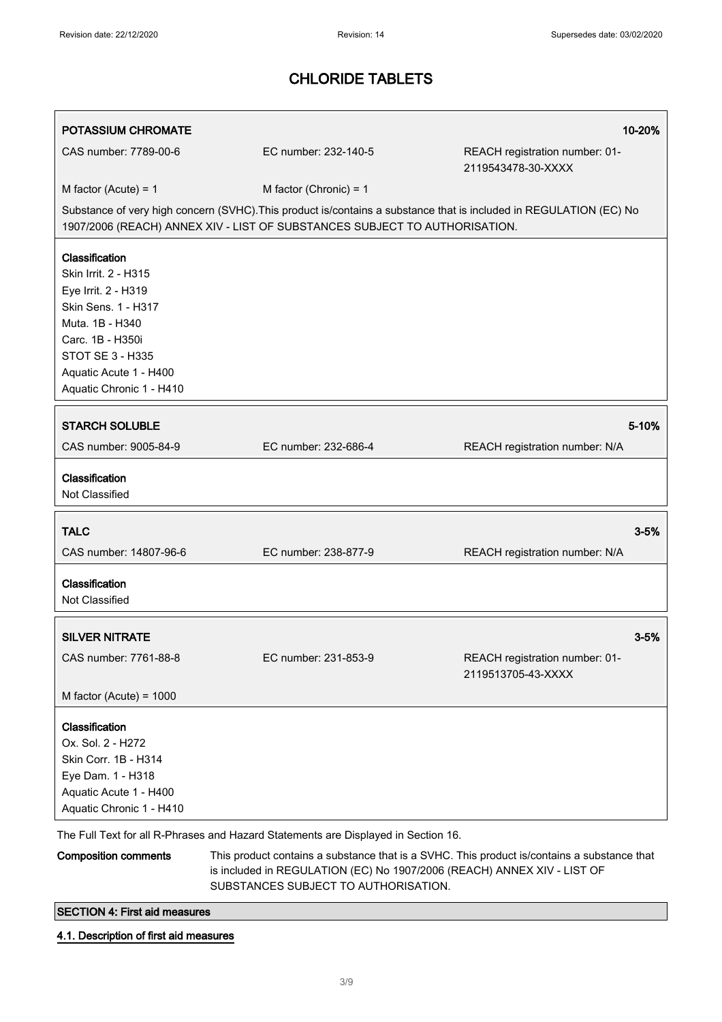| <b>POTASSIUM CHROMATE</b>                                                                                                                                                                                    |                                                                                    | 10-20%                                                                                                                                                                 |
|--------------------------------------------------------------------------------------------------------------------------------------------------------------------------------------------------------------|------------------------------------------------------------------------------------|------------------------------------------------------------------------------------------------------------------------------------------------------------------------|
| CAS number: 7789-00-6                                                                                                                                                                                        | EC number: 232-140-5                                                               | REACH registration number: 01-<br>2119543478-30-XXXX                                                                                                                   |
| M factor (Acute) = $1$                                                                                                                                                                                       | M factor (Chronic) = $1$                                                           |                                                                                                                                                                        |
|                                                                                                                                                                                                              | 1907/2006 (REACH) ANNEX XIV - LIST OF SUBSTANCES SUBJECT TO AUTHORISATION.         | Substance of very high concern (SVHC). This product is/contains a substance that is included in REGULATION (EC) No                                                     |
| Classification<br>Skin Irrit. 2 - H315<br>Eye Irrit. 2 - H319<br>Skin Sens. 1 - H317<br>Muta. 1B - H340<br>Carc. 1B - H350i<br><b>STOT SE 3 - H335</b><br>Aquatic Acute 1 - H400<br>Aquatic Chronic 1 - H410 |                                                                                    |                                                                                                                                                                        |
| <b>STARCH SOLUBLE</b>                                                                                                                                                                                        |                                                                                    | 5-10%                                                                                                                                                                  |
| CAS number: 9005-84-9                                                                                                                                                                                        | EC number: 232-686-4                                                               | REACH registration number: N/A                                                                                                                                         |
| Classification<br>Not Classified                                                                                                                                                                             |                                                                                    |                                                                                                                                                                        |
| <b>TALC</b>                                                                                                                                                                                                  |                                                                                    | $3 - 5%$                                                                                                                                                               |
| CAS number: 14807-96-6                                                                                                                                                                                       | EC number: 238-877-9                                                               | REACH registration number: N/A                                                                                                                                         |
| Classification<br>Not Classified                                                                                                                                                                             |                                                                                    |                                                                                                                                                                        |
| <b>SILVER NITRATE</b>                                                                                                                                                                                        |                                                                                    | $3 - 5%$                                                                                                                                                               |
| CAS number: 7761-88-8                                                                                                                                                                                        | EC number: 231-853-9                                                               | REACH registration number: 01-<br>2119513705-43-XXXX                                                                                                                   |
| M factor (Acute) = $1000$                                                                                                                                                                                    |                                                                                    |                                                                                                                                                                        |
| Classification<br>Ox. Sol. 2 - H272<br>Skin Corr. 1B - H314<br>Eye Dam. 1 - H318<br>Aquatic Acute 1 - H400<br>Aquatic Chronic 1 - H410                                                                       |                                                                                    |                                                                                                                                                                        |
|                                                                                                                                                                                                              | The Full Text for all R-Phrases and Hazard Statements are Displayed in Section 16. |                                                                                                                                                                        |
| <b>Composition comments</b>                                                                                                                                                                                  |                                                                                    | This product contains a substance that is a SVHC. This product is/contains a substance that<br>is included in REGULATION (EC) No 1907/2006 (REACH) ANNEX XIV - LIST OF |

SUBSTANCES SUBJECT TO AUTHORISATION.

SECTION 4: First aid measures

4.1. Description of first aid measures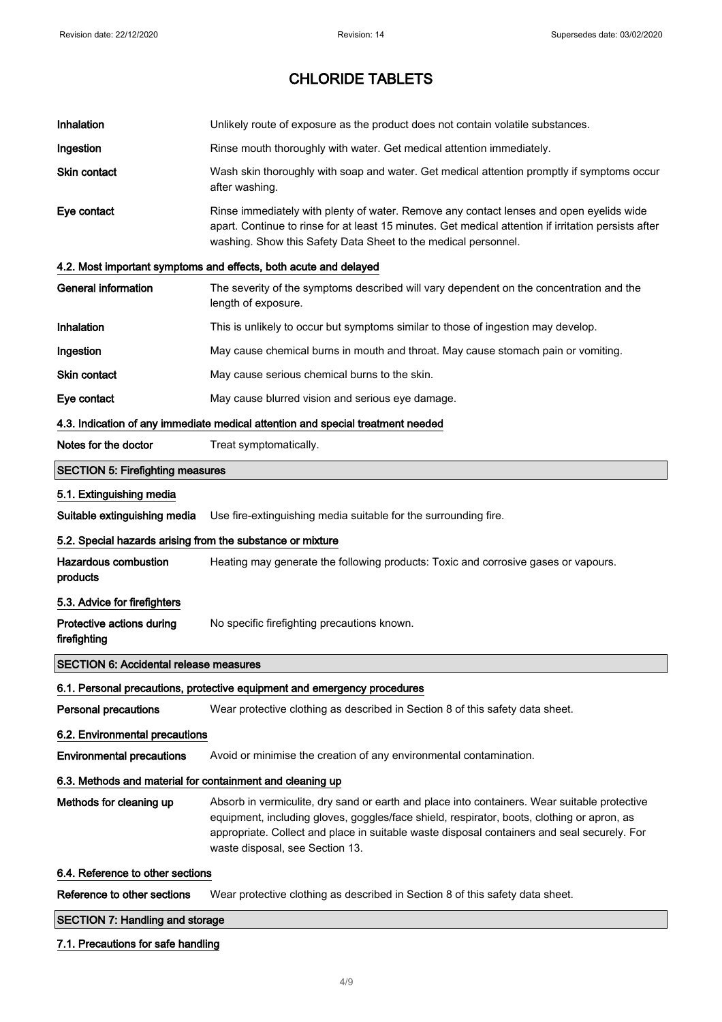| Inhalation                                                 | Unlikely route of exposure as the product does not contain volatile substances.                                                                                                                                                                                                                                              |  |
|------------------------------------------------------------|------------------------------------------------------------------------------------------------------------------------------------------------------------------------------------------------------------------------------------------------------------------------------------------------------------------------------|--|
| Ingestion                                                  | Rinse mouth thoroughly with water. Get medical attention immediately.                                                                                                                                                                                                                                                        |  |
| <b>Skin contact</b>                                        | Wash skin thoroughly with soap and water. Get medical attention promptly if symptoms occur<br>after washing.                                                                                                                                                                                                                 |  |
| Eye contact                                                | Rinse immediately with plenty of water. Remove any contact lenses and open eyelids wide<br>apart. Continue to rinse for at least 15 minutes. Get medical attention if irritation persists after<br>washing. Show this Safety Data Sheet to the medical personnel.                                                            |  |
|                                                            | 4.2. Most important symptoms and effects, both acute and delayed                                                                                                                                                                                                                                                             |  |
| <b>General information</b>                                 | The severity of the symptoms described will vary dependent on the concentration and the<br>length of exposure.                                                                                                                                                                                                               |  |
| Inhalation                                                 | This is unlikely to occur but symptoms similar to those of ingestion may develop.                                                                                                                                                                                                                                            |  |
| Ingestion                                                  | May cause chemical burns in mouth and throat. May cause stomach pain or vomiting.                                                                                                                                                                                                                                            |  |
| Skin contact                                               | May cause serious chemical burns to the skin.                                                                                                                                                                                                                                                                                |  |
| Eye contact                                                | May cause blurred vision and serious eye damage.                                                                                                                                                                                                                                                                             |  |
|                                                            | 4.3. Indication of any immediate medical attention and special treatment needed                                                                                                                                                                                                                                              |  |
| Notes for the doctor                                       | Treat symptomatically.                                                                                                                                                                                                                                                                                                       |  |
| <b>SECTION 5: Firefighting measures</b>                    |                                                                                                                                                                                                                                                                                                                              |  |
| 5.1. Extinguishing media                                   |                                                                                                                                                                                                                                                                                                                              |  |
| Suitable extinguishing media                               | Use fire-extinguishing media suitable for the surrounding fire.                                                                                                                                                                                                                                                              |  |
| 5.2. Special hazards arising from the substance or mixture |                                                                                                                                                                                                                                                                                                                              |  |
| <b>Hazardous combustion</b><br>products                    | Heating may generate the following products: Toxic and corrosive gases or vapours.                                                                                                                                                                                                                                           |  |
| 5.3. Advice for firefighters                               |                                                                                                                                                                                                                                                                                                                              |  |
| Protective actions during<br>firefighting                  | No specific firefighting precautions known.                                                                                                                                                                                                                                                                                  |  |
| <b>SECTION 6: Accidental release measures</b>              |                                                                                                                                                                                                                                                                                                                              |  |
|                                                            | 6.1. Personal precautions, protective equipment and emergency procedures                                                                                                                                                                                                                                                     |  |
| <b>Personal precautions</b>                                | Wear protective clothing as described in Section 8 of this safety data sheet.                                                                                                                                                                                                                                                |  |
| 6.2. Environmental precautions                             |                                                                                                                                                                                                                                                                                                                              |  |
| <b>Environmental precautions</b>                           | Avoid or minimise the creation of any environmental contamination.                                                                                                                                                                                                                                                           |  |
| 6.3. Methods and material for containment and cleaning up  |                                                                                                                                                                                                                                                                                                                              |  |
| Methods for cleaning up                                    | Absorb in vermiculite, dry sand or earth and place into containers. Wear suitable protective<br>equipment, including gloves, goggles/face shield, respirator, boots, clothing or apron, as<br>appropriate. Collect and place in suitable waste disposal containers and seal securely. For<br>waste disposal, see Section 13. |  |
| 6.4. Reference to other sections                           |                                                                                                                                                                                                                                                                                                                              |  |
| Reference to other sections                                | Wear protective clothing as described in Section 8 of this safety data sheet.                                                                                                                                                                                                                                                |  |
| <b>SECTION 7: Handling and storage</b>                     |                                                                                                                                                                                                                                                                                                                              |  |

# 7.1. Precautions for safe handling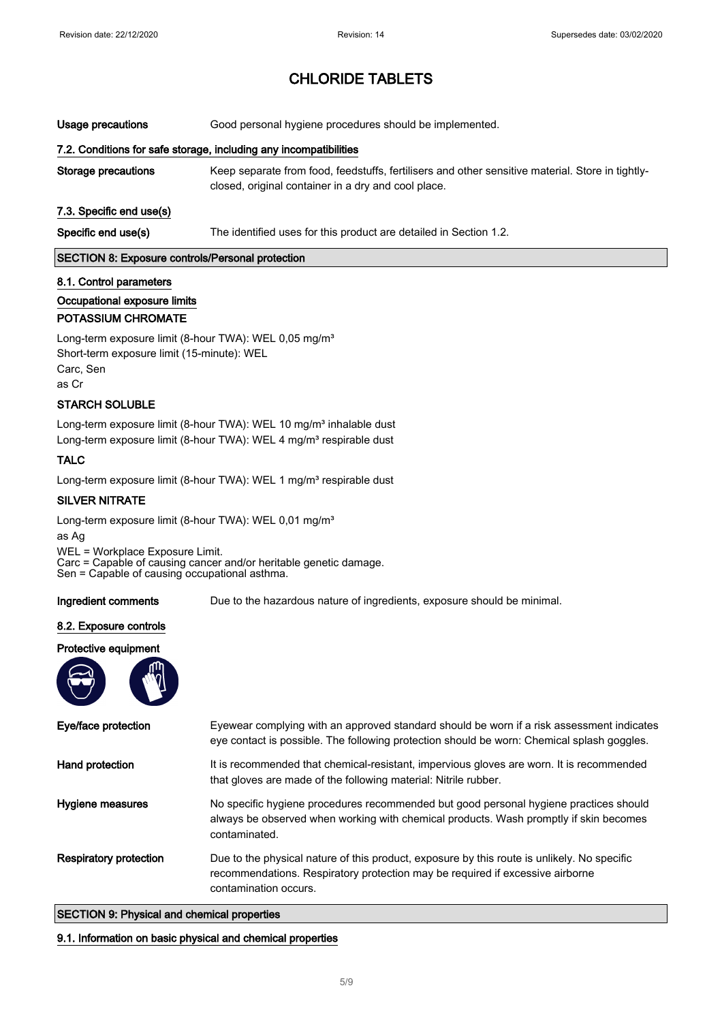Usage precautions Good personal hygiene procedures should be implemented.

### 7.2. Conditions for safe storage, including any incompatibilities

Storage precautions Keep separate from food, feedstuffs, fertilisers and other sensitive material. Store in tightlyclosed, original container in a dry and cool place.

### 7.3. Specific end use(s)

Specific end use(s) The identified uses for this product are detailed in Section 1.2.

#### SECTION 8: Exposure controls/Personal protection

#### 8.1. Control parameters

### Occupational exposure limits

### POTASSIUM CHROMATE

Long-term exposure limit (8-hour TWA): WEL 0,05 mg/m<sup>3</sup> Short-term exposure limit (15-minute): WEL Carc, Sen as Cr

#### STARCH SOLUBLE

Long-term exposure limit (8-hour TWA): WEL 10 mg/m<sup>3</sup> inhalable dust Long-term exposure limit (8-hour TWA): WEL 4 mg/m<sup>3</sup> respirable dust

#### TALC

Long-term exposure limit (8-hour TWA): WEL 1 mg/m<sup>3</sup> respirable dust

#### SILVER NITRATE

Long-term exposure limit (8-hour TWA): WEL 0,01 mg/m<sup>3</sup>

as Ag WEL = Workplace Exposure Limit. Carc = Capable of causing cancer and/or heritable genetic damage. Sen = Capable of causing occupational asthma.

Ingredient comments Due to the hazardous nature of ingredients, exposure should be minimal.

#### 8.2. Exposure controls

#### Protective equipment



| Eye/face protection           | Eyewear complying with an approved standard should be worn if a risk assessment indicates<br>eye contact is possible. The following protection should be worn: Chemical splash goggles.               |
|-------------------------------|-------------------------------------------------------------------------------------------------------------------------------------------------------------------------------------------------------|
| Hand protection               | It is recommended that chemical-resistant, impervious gloves are worn. It is recommended<br>that gloves are made of the following material: Nitrile rubber.                                           |
| Hygiene measures              | No specific hygiene procedures recommended but good personal hygiene practices should<br>always be observed when working with chemical products. Wash promptly if skin becomes<br>contaminated.       |
| <b>Respiratory protection</b> | Due to the physical nature of this product, exposure by this route is unlikely. No specific<br>recommendations. Respiratory protection may be required if excessive airborne<br>contamination occurs. |

### SECTION 9: Physical and chemical properties

#### 9.1. Information on basic physical and chemical properties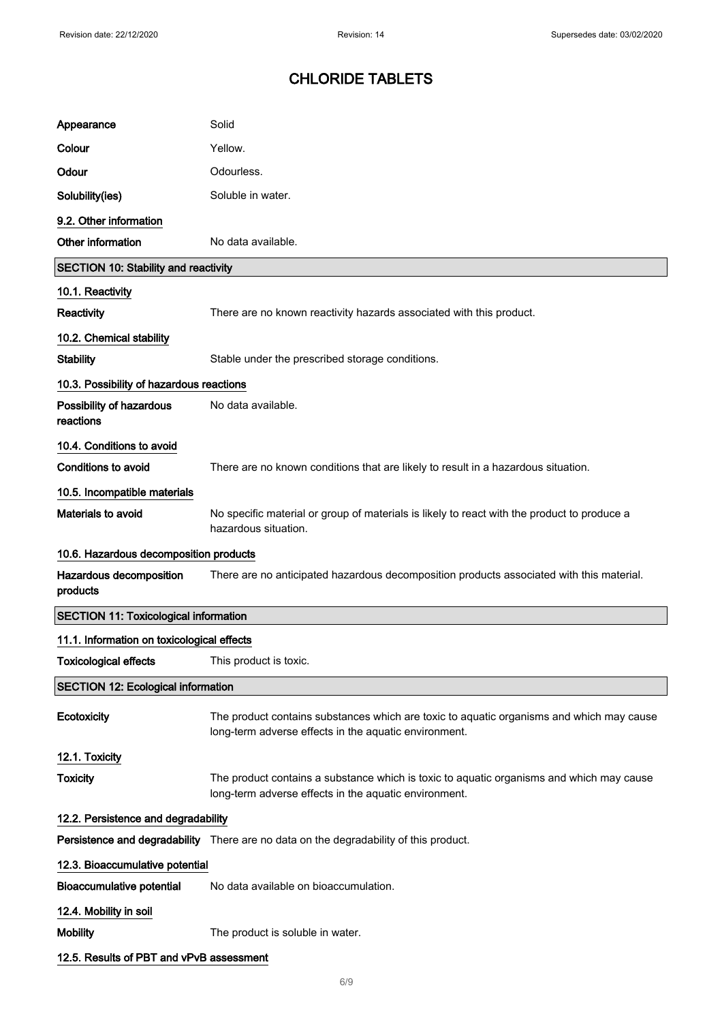| Appearance                                   | Solid                                                                                                                                             |
|----------------------------------------------|---------------------------------------------------------------------------------------------------------------------------------------------------|
| Colour                                       | Yellow.                                                                                                                                           |
| Odour                                        | Odourless.                                                                                                                                        |
| Solubility(ies)                              | Soluble in water.                                                                                                                                 |
| 9.2. Other information                       |                                                                                                                                                   |
| Other information                            | No data available.                                                                                                                                |
| <b>SECTION 10: Stability and reactivity</b>  |                                                                                                                                                   |
| 10.1. Reactivity                             |                                                                                                                                                   |
| Reactivity                                   | There are no known reactivity hazards associated with this product.                                                                               |
| 10.2. Chemical stability                     |                                                                                                                                                   |
| <b>Stability</b>                             | Stable under the prescribed storage conditions.                                                                                                   |
| 10.3. Possibility of hazardous reactions     |                                                                                                                                                   |
| Possibility of hazardous<br>reactions        | No data available.                                                                                                                                |
| 10.4. Conditions to avoid                    |                                                                                                                                                   |
| <b>Conditions to avoid</b>                   | There are no known conditions that are likely to result in a hazardous situation.                                                                 |
| 10.5. Incompatible materials                 |                                                                                                                                                   |
| Materials to avoid                           | No specific material or group of materials is likely to react with the product to produce a<br>hazardous situation.                               |
| 10.6. Hazardous decomposition products       |                                                                                                                                                   |
| Hazardous decomposition<br>products          | There are no anticipated hazardous decomposition products associated with this material.                                                          |
| <b>SECTION 11: Toxicological information</b> |                                                                                                                                                   |
| 11.1. Information on toxicological effects   |                                                                                                                                                   |
| <b>Toxicological effects</b>                 |                                                                                                                                                   |
|                                              | This product is toxic.                                                                                                                            |
| <b>SECTION 12: Ecological information</b>    |                                                                                                                                                   |
| Ecotoxicity                                  | The product contains substances which are toxic to aquatic organisms and which may cause<br>long-term adverse effects in the aquatic environment. |
| 12.1. Toxicity                               |                                                                                                                                                   |
| <b>Toxicity</b>                              | The product contains a substance which is toxic to aquatic organisms and which may cause<br>long-term adverse effects in the aquatic environment. |
| 12.2. Persistence and degradability          |                                                                                                                                                   |
|                                              | Persistence and degradability There are no data on the degradability of this product.                                                             |
| 12.3. Bioaccumulative potential              |                                                                                                                                                   |
| <b>Bioaccumulative potential</b>             | No data available on bioaccumulation.                                                                                                             |
| 12.4. Mobility in soil                       |                                                                                                                                                   |
| <b>Mobility</b>                              | The product is soluble in water.                                                                                                                  |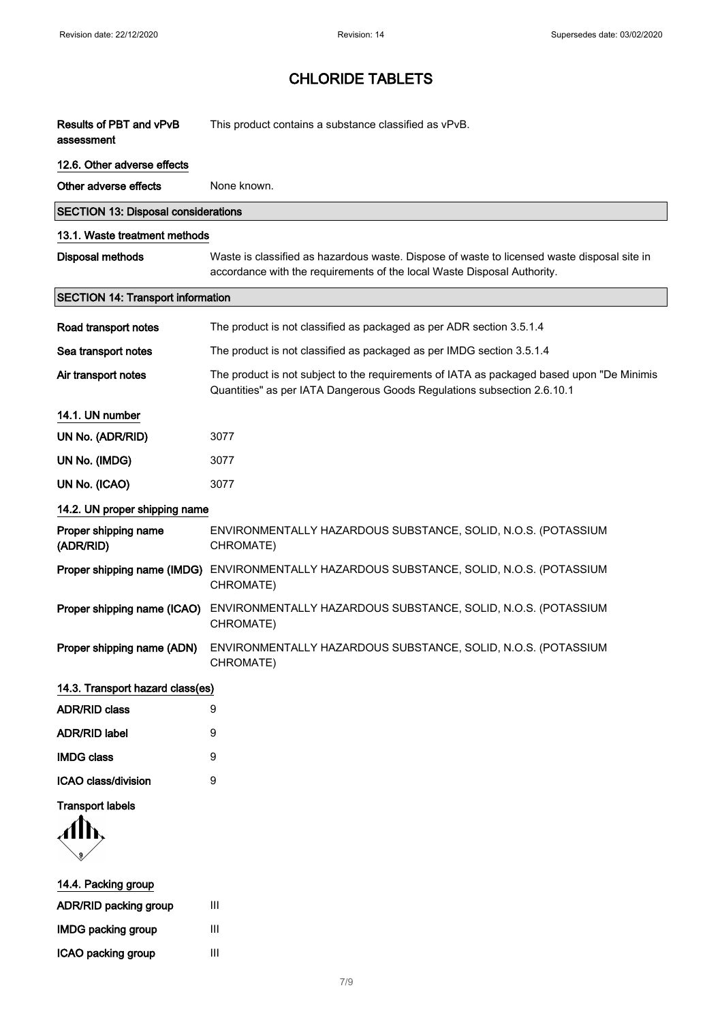ICAO packing group III

# CHLORIDE TABLETS

| Results of PBT and vPvB<br>assessment      | This product contains a substance classified as vPvB.                                                                                                                  |
|--------------------------------------------|------------------------------------------------------------------------------------------------------------------------------------------------------------------------|
| 12.6. Other adverse effects                |                                                                                                                                                                        |
| Other adverse effects                      | None known.                                                                                                                                                            |
| <b>SECTION 13: Disposal considerations</b> |                                                                                                                                                                        |
| 13.1. Waste treatment methods              |                                                                                                                                                                        |
| <b>Disposal methods</b>                    | Waste is classified as hazardous waste. Dispose of waste to licensed waste disposal site in<br>accordance with the requirements of the local Waste Disposal Authority. |
| <b>SECTION 14: Transport information</b>   |                                                                                                                                                                        |
| Road transport notes                       | The product is not classified as packaged as per ADR section 3.5.1.4                                                                                                   |
| Sea transport notes                        | The product is not classified as packaged as per IMDG section 3.5.1.4                                                                                                  |
| Air transport notes                        | The product is not subject to the requirements of IATA as packaged based upon "De Minimis"<br>Quantities" as per IATA Dangerous Goods Regulations subsection 2.6.10.1  |
| 14.1. UN number                            |                                                                                                                                                                        |
| UN No. (ADR/RID)                           | 3077                                                                                                                                                                   |
| UN No. (IMDG)                              | 3077                                                                                                                                                                   |
| UN No. (ICAO)                              | 3077                                                                                                                                                                   |
| 14.2. UN proper shipping name              |                                                                                                                                                                        |
| Proper shipping name<br>(ADR/RID)          | ENVIRONMENTALLY HAZARDOUS SUBSTANCE, SOLID, N.O.S. (POTASSIUM<br>CHROMATE)                                                                                             |
| Proper shipping name (IMDG)                | ENVIRONMENTALLY HAZARDOUS SUBSTANCE, SOLID, N.O.S. (POTASSIUM<br>CHROMATE)                                                                                             |
| Proper shipping name (ICAO)                | ENVIRONMENTALLY HAZARDOUS SUBSTANCE, SOLID, N.O.S. (POTASSIUM<br>CHROMATE)                                                                                             |
| Proper shipping name (ADN)                 | ENVIRONMENTALLY HAZARDOUS SUBSTANCE, SOLID, N.O.S. (POTASSIUM<br>CHROMATE)                                                                                             |
| 14.3. Transport hazard class(es)           |                                                                                                                                                                        |
| <b>ADR/RID class</b>                       | 9                                                                                                                                                                      |
| <b>ADR/RID label</b>                       | 9                                                                                                                                                                      |
| <b>IMDG class</b>                          | 9                                                                                                                                                                      |
| ICAO class/division                        | 9                                                                                                                                                                      |
| <b>Transport labels</b>                    |                                                                                                                                                                        |
| 14.4. Packing group                        |                                                                                                                                                                        |
| ADR/RID packing group                      | Ш                                                                                                                                                                      |
| <b>IMDG packing group</b>                  | Ш                                                                                                                                                                      |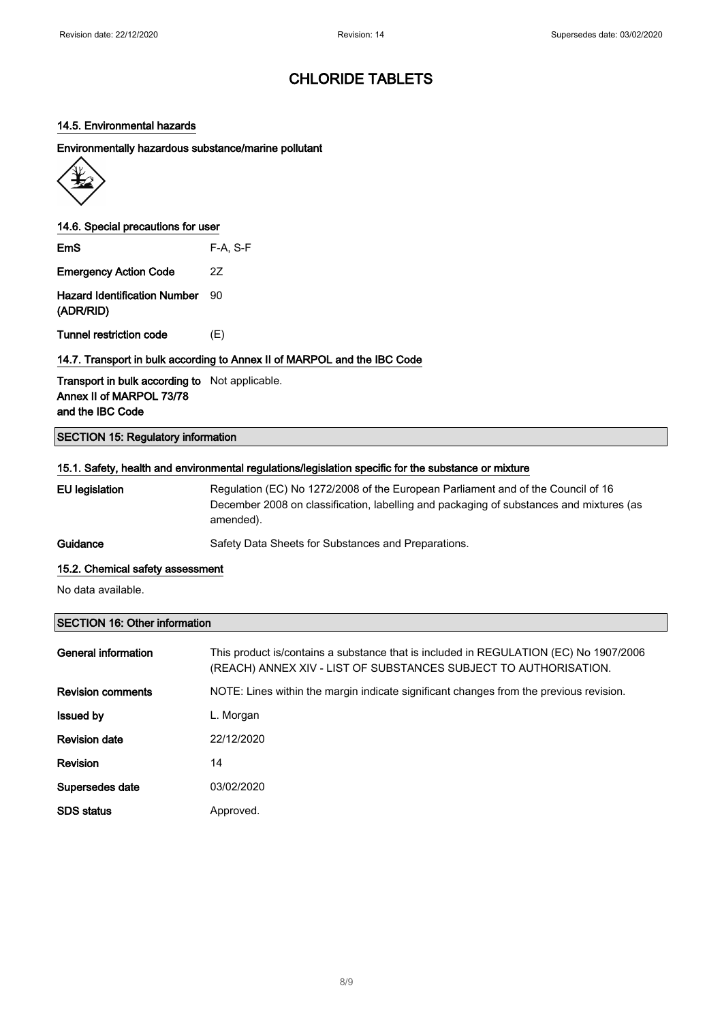### 14.5. Environmental hazards

#### Environmentally hazardous substance/marine pollutant



### 14.6. Special precautions for user

| <b>EmS</b>                   | $F-A, S-F$ |
|------------------------------|------------|
| <b>Emergency Action Code</b> | 27         |

Hazard Identification Number 90 (ADR/RID)

Tunnel restriction code (E)

### 14.7. Transport in bulk according to Annex II of MARPOL and the IBC Code

Transport in bulk according to Not applicable. Annex II of MARPOL 73/78 and the IBC Code

### SECTION 15: Regulatory information

### 15.1. Safety, health and environmental regulations/legislation specific for the substance or mixture

| EU legislation | Regulation (EC) No 1272/2008 of the European Parliament and of the Council of 16<br>December 2008 on classification, labelling and packaging of substances and mixtures (as<br>amended). |
|----------------|------------------------------------------------------------------------------------------------------------------------------------------------------------------------------------------|
| Guidance       | Safety Data Sheets for Substances and Preparations.                                                                                                                                      |

#### 15.2. Chemical safety assessment

No data available.

### SECTION 16: Other information

| General information      | This product is/contains a substance that is included in REGULATION (EC) No 1907/2006<br>(REACH) ANNEX XIV - LIST OF SUBSTANCES SUBJECT TO AUTHORISATION. |
|--------------------------|-----------------------------------------------------------------------------------------------------------------------------------------------------------|
| <b>Revision comments</b> | NOTE: Lines within the margin indicate significant changes from the previous revision.                                                                    |
| <b>Issued by</b>         | L. Morgan                                                                                                                                                 |
| <b>Revision date</b>     | 22/12/2020                                                                                                                                                |
| Revision                 | 14                                                                                                                                                        |
| Supersedes date          | 03/02/2020                                                                                                                                                |
| <b>SDS</b> status        | Approved.                                                                                                                                                 |